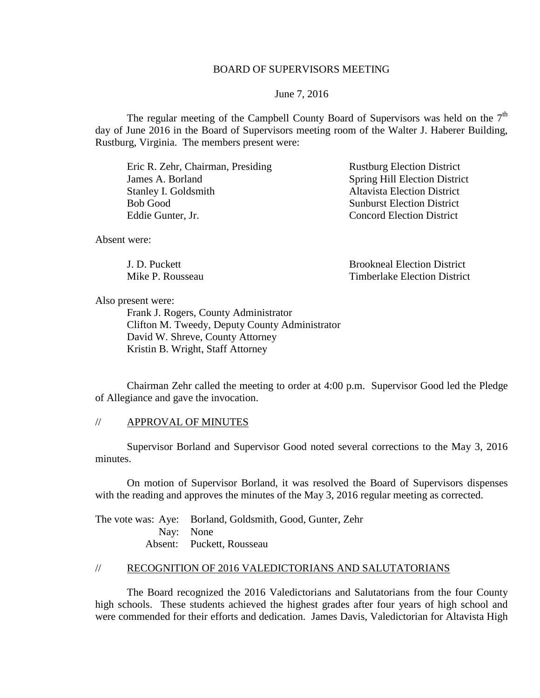## BOARD OF SUPERVISORS MEETING

June 7, 2016

The regular meeting of the Campbell County Board of Supervisors was held on the  $7<sup>th</sup>$ day of June 2016 in the Board of Supervisors meeting room of the Walter J. Haberer Building, Rustburg, Virginia. The members present were:

Eric R. Zehr, Chairman, Presiding Rustburg Election District James A. Borland Spring Hill Election District<br>
Stanley I. Goldsmith Altavista Election District Stanley I. Goldsmith Bob Good Sunburst Election District Eddie Gunter, Jr. Concord Election District

Absent were:

J. D. Puckett Brookneal Election District Mike P. Rousseau Timberlake Election District

Also present were:

Frank J. Rogers, County Administrator Clifton M. Tweedy, Deputy County Administrator David W. Shreve, County Attorney Kristin B. Wright, Staff Attorney

Chairman Zehr called the meeting to order at 4:00 p.m. Supervisor Good led the Pledge of Allegiance and gave the invocation.

### // APPROVAL OF MINUTES

Supervisor Borland and Supervisor Good noted several corrections to the May 3, 2016 minutes.

On motion of Supervisor Borland, it was resolved the Board of Supervisors dispenses with the reading and approves the minutes of the May 3, 2016 regular meeting as corrected.

The vote was: Aye: Borland, Goldsmith, Good, Gunter, Zehr Nay: None Absent: Puckett, Rousseau

# // RECOGNITION OF 2016 VALEDICTORIANS AND SALUTATORIANS

The Board recognized the 2016 Valedictorians and Salutatorians from the four County high schools. These students achieved the highest grades after four years of high school and were commended for their efforts and dedication. James Davis, Valedictorian for Altavista High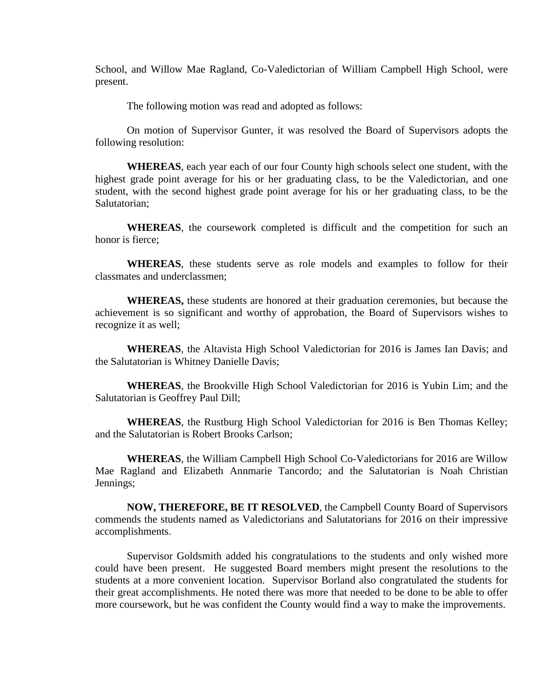School, and Willow Mae Ragland, Co-Valedictorian of William Campbell High School, were present.

The following motion was read and adopted as follows:

On motion of Supervisor Gunter, it was resolved the Board of Supervisors adopts the following resolution:

**WHEREAS**, each year each of our four County high schools select one student, with the highest grade point average for his or her graduating class, to be the Valedictorian, and one student, with the second highest grade point average for his or her graduating class, to be the Salutatorian;

**WHEREAS**, the coursework completed is difficult and the competition for such an honor is fierce;

**WHEREAS**, these students serve as role models and examples to follow for their classmates and underclassmen;

**WHEREAS,** these students are honored at their graduation ceremonies, but because the achievement is so significant and worthy of approbation, the Board of Supervisors wishes to recognize it as well;

**WHEREAS**, the Altavista High School Valedictorian for 2016 is James Ian Davis; and the Salutatorian is Whitney Danielle Davis;

**WHEREAS**, the Brookville High School Valedictorian for 2016 is Yubin Lim; and the Salutatorian is Geoffrey Paul Dill;

**WHEREAS**, the Rustburg High School Valedictorian for 2016 is Ben Thomas Kelley; and the Salutatorian is Robert Brooks Carlson;

**WHEREAS**, the William Campbell High School Co-Valedictorians for 2016 are Willow Mae Ragland and Elizabeth Annmarie Tancordo; and the Salutatorian is Noah Christian Jennings;

**NOW, THEREFORE, BE IT RESOLVED**, the Campbell County Board of Supervisors commends the students named as Valedictorians and Salutatorians for 2016 on their impressive accomplishments.

Supervisor Goldsmith added his congratulations to the students and only wished more could have been present. He suggested Board members might present the resolutions to the students at a more convenient location. Supervisor Borland also congratulated the students for their great accomplishments. He noted there was more that needed to be done to be able to offer more coursework, but he was confident the County would find a way to make the improvements.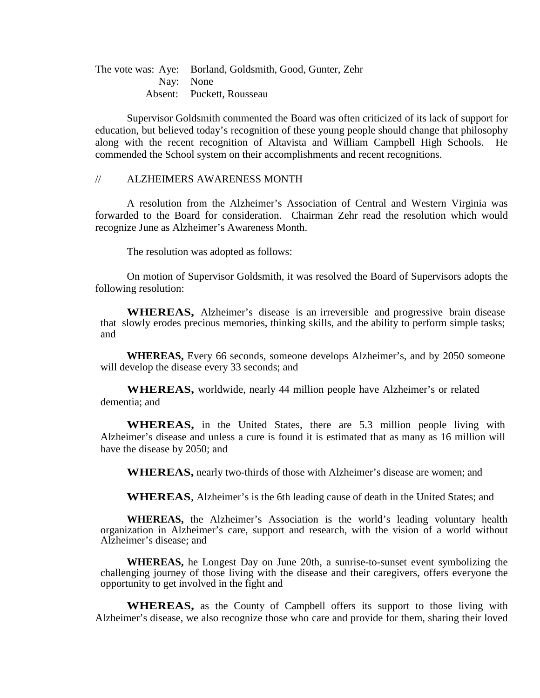The vote was: Aye: Borland, Goldsmith, Good, Gunter, Zehr Nay: None Absent: Puckett, Rousseau

Supervisor Goldsmith commented the Board was often criticized of its lack of support for education, but believed today's recognition of these young people should change that philosophy along with the recent recognition of Altavista and William Campbell High Schools. He commended the School system on their accomplishments and recent recognitions.

#### // ALZHEIMERS AWARENESS MONTH

A resolution from the Alzheimer's Association of Central and Western Virginia was forwarded to the Board for consideration. Chairman Zehr read the resolution which would recognize June as Alzheimer's Awareness Month.

The resolution was adopted as follows:

On motion of Supervisor Goldsmith, it was resolved the Board of Supervisors adopts the following resolution:

**WHEREAS,** Alzheimer's disease is an irreversible and progressive brain disease that slowly erodes precious memories, thinking skills, and the ability to perform simple tasks; and

**WHEREAS,** Every 66 seconds, someone develops Alzheimer's, and by 2050 someone will develop the disease every 33 seconds; and

**WHEREAS,** worldwide, nearly 44 million people have Alzheimer's or related dementia; and

**WHEREAS,** in the United States, there are 5.3 million people living with Alzheimer's disease and unless a cure is found it is estimated that as many as 16 million will have the disease by 2050; and

**WHEREAS,** nearly two-thirds of those with Alzheimer's disease are women; and

**WHEREAS**, Alzheimer's is the 6th leading cause of death in the United States; and

**WHEREAS,** the Alzheimer's Association is the world's leading voluntary health organization in Alzheimer's care, support and research, with the vision of a world without Alzheimer's disease; and

**WHEREAS,** he Longest Day on June 20th, a sunrise-to-sunset event symbolizing the challenging journey of those living with the disease and their caregivers, offers everyone the opportunity to get involved in the fight and

**WHEREAS,** as the County of Campbell offers its support to those living with Alzheimer's disease, we also recognize those who care and provide for them, sharing their loved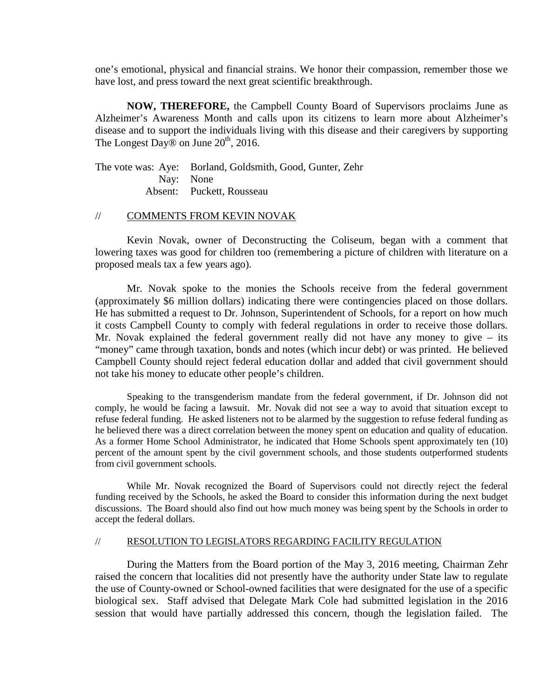one's emotional, physical and financial strains. We honor their compassion, remember those we have lost, and press toward the next great scientific breakthrough.

**NOW, THEREFORE,** the Campbell County Board of Supervisors proclaims June as Alzheimer's Awareness Month and calls upon its citizens to learn more about Alzheimer's disease and to support the individuals living with this disease and their caregivers by supporting The Longest Day $\overline{\mathcal{D}}$  on June 20<sup>th</sup>, 2016.

The vote was: Aye: Borland, Goldsmith, Good, Gunter, Zehr Nay: None Absent: Puckett, Rousseau

#### // COMMENTS FROM KEVIN NOVAK

Kevin Novak, owner of Deconstructing the Coliseum, began with a comment that lowering taxes was good for children too (remembering a picture of children with literature on a proposed meals tax a few years ago).

Mr. Novak spoke to the monies the Schools receive from the federal government (approximately \$6 million dollars) indicating there were contingencies placed on those dollars. He has submitted a request to Dr. Johnson, Superintendent of Schools, for a report on how much it costs Campbell County to comply with federal regulations in order to receive those dollars. Mr. Novak explained the federal government really did not have any money to give – its "money" came through taxation, bonds and notes (which incur debt) or was printed. He believed Campbell County should reject federal education dollar and added that civil government should not take his money to educate other people's children.

Speaking to the transgenderism mandate from the federal government, if Dr. Johnson did not comply, he would be facing a lawsuit. Mr. Novak did not see a way to avoid that situation except to refuse federal funding. He asked listeners not to be alarmed by the suggestion to refuse federal funding as he believed there was a direct correlation between the money spent on education and quality of education. As a former Home School Administrator, he indicated that Home Schools spent approximately ten (10) percent of the amount spent by the civil government schools, and those students outperformed students from civil government schools.

While Mr. Novak recognized the Board of Supervisors could not directly reject the federal funding received by the Schools, he asked the Board to consider this information during the next budget discussions. The Board should also find out how much money was being spent by the Schools in order to accept the federal dollars.

#### // RESOLUTION TO LEGISLATORS REGARDING FACILITY REGULATION

During the Matters from the Board portion of the May 3, 2016 meeting, Chairman Zehr raised the concern that localities did not presently have the authority under State law to regulate the use of County-owned or School-owned facilities that were designated for the use of a specific biological sex. Staff advised that Delegate Mark Cole had submitted legislation in the 2016 session that would have partially addressed this concern, though the legislation failed. The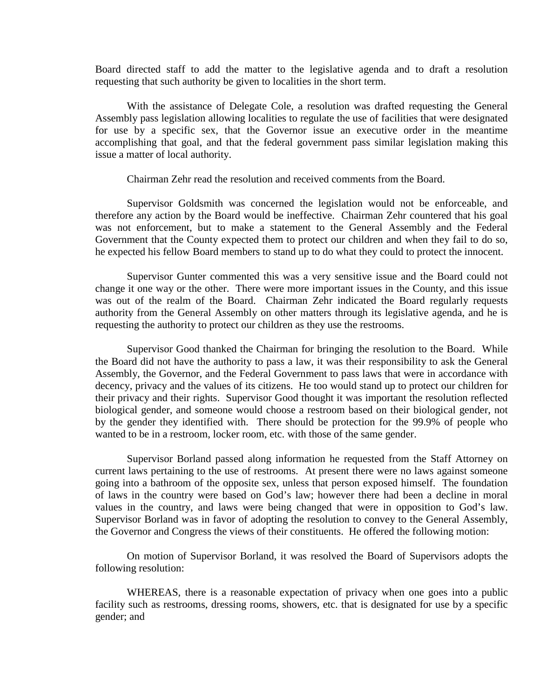Board directed staff to add the matter to the legislative agenda and to draft a resolution requesting that such authority be given to localities in the short term.

With the assistance of Delegate Cole, a resolution was drafted requesting the General Assembly pass legislation allowing localities to regulate the use of facilities that were designated for use by a specific sex, that the Governor issue an executive order in the meantime accomplishing that goal, and that the federal government pass similar legislation making this issue a matter of local authority.

Chairman Zehr read the resolution and received comments from the Board.

Supervisor Goldsmith was concerned the legislation would not be enforceable, and therefore any action by the Board would be ineffective. Chairman Zehr countered that his goal was not enforcement, but to make a statement to the General Assembly and the Federal Government that the County expected them to protect our children and when they fail to do so, he expected his fellow Board members to stand up to do what they could to protect the innocent.

Supervisor Gunter commented this was a very sensitive issue and the Board could not change it one way or the other. There were more important issues in the County, and this issue was out of the realm of the Board. Chairman Zehr indicated the Board regularly requests authority from the General Assembly on other matters through its legislative agenda, and he is requesting the authority to protect our children as they use the restrooms.

Supervisor Good thanked the Chairman for bringing the resolution to the Board. While the Board did not have the authority to pass a law, it was their responsibility to ask the General Assembly, the Governor, and the Federal Government to pass laws that were in accordance with decency, privacy and the values of its citizens. He too would stand up to protect our children for their privacy and their rights. Supervisor Good thought it was important the resolution reflected biological gender, and someone would choose a restroom based on their biological gender, not by the gender they identified with. There should be protection for the 99.9% of people who wanted to be in a restroom, locker room, etc. with those of the same gender.

Supervisor Borland passed along information he requested from the Staff Attorney on current laws pertaining to the use of restrooms. At present there were no laws against someone going into a bathroom of the opposite sex, unless that person exposed himself. The foundation of laws in the country were based on God's law; however there had been a decline in moral values in the country, and laws were being changed that were in opposition to God's law. Supervisor Borland was in favor of adopting the resolution to convey to the General Assembly, the Governor and Congress the views of their constituents. He offered the following motion:

On motion of Supervisor Borland, it was resolved the Board of Supervisors adopts the following resolution:

WHEREAS, there is a reasonable expectation of privacy when one goes into a public facility such as restrooms, dressing rooms, showers, etc. that is designated for use by a specific gender; and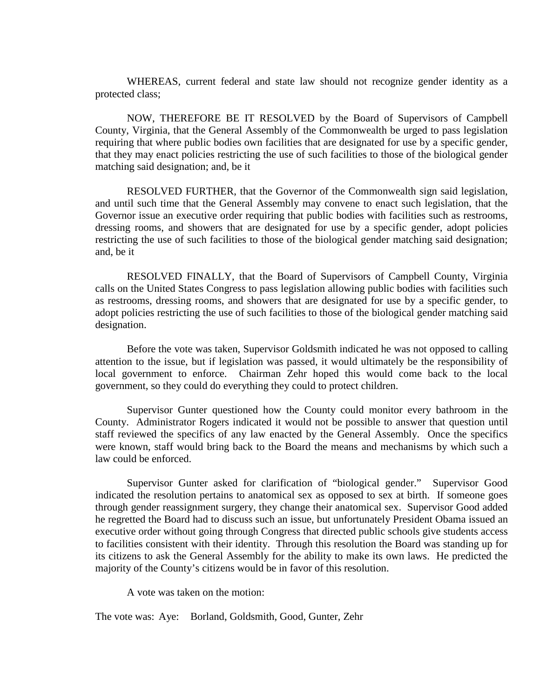WHEREAS, current federal and state law should not recognize gender identity as a protected class;

NOW, THEREFORE BE IT RESOLVED by the Board of Supervisors of Campbell County, Virginia, that the General Assembly of the Commonwealth be urged to pass legislation requiring that where public bodies own facilities that are designated for use by a specific gender, that they may enact policies restricting the use of such facilities to those of the biological gender matching said designation; and, be it

RESOLVED FURTHER, that the Governor of the Commonwealth sign said legislation, and until such time that the General Assembly may convene to enact such legislation, that the Governor issue an executive order requiring that public bodies with facilities such as restrooms, dressing rooms, and showers that are designated for use by a specific gender, adopt policies restricting the use of such facilities to those of the biological gender matching said designation; and, be it

RESOLVED FINALLY, that the Board of Supervisors of Campbell County, Virginia calls on the United States Congress to pass legislation allowing public bodies with facilities such as restrooms, dressing rooms, and showers that are designated for use by a specific gender, to adopt policies restricting the use of such facilities to those of the biological gender matching said designation.

Before the vote was taken, Supervisor Goldsmith indicated he was not opposed to calling attention to the issue, but if legislation was passed, it would ultimately be the responsibility of local government to enforce. Chairman Zehr hoped this would come back to the local government, so they could do everything they could to protect children.

Supervisor Gunter questioned how the County could monitor every bathroom in the County. Administrator Rogers indicated it would not be possible to answer that question until staff reviewed the specifics of any law enacted by the General Assembly. Once the specifics were known, staff would bring back to the Board the means and mechanisms by which such a law could be enforced.

Supervisor Gunter asked for clarification of "biological gender." Supervisor Good indicated the resolution pertains to anatomical sex as opposed to sex at birth. If someone goes through gender reassignment surgery, they change their anatomical sex. Supervisor Good added he regretted the Board had to discuss such an issue, but unfortunately President Obama issued an executive order without going through Congress that directed public schools give students access to facilities consistent with their identity. Through this resolution the Board was standing up for its citizens to ask the General Assembly for the ability to make its own laws. He predicted the majority of the County's citizens would be in favor of this resolution.

A vote was taken on the motion:

The vote was: Aye: Borland, Goldsmith, Good, Gunter, Zehr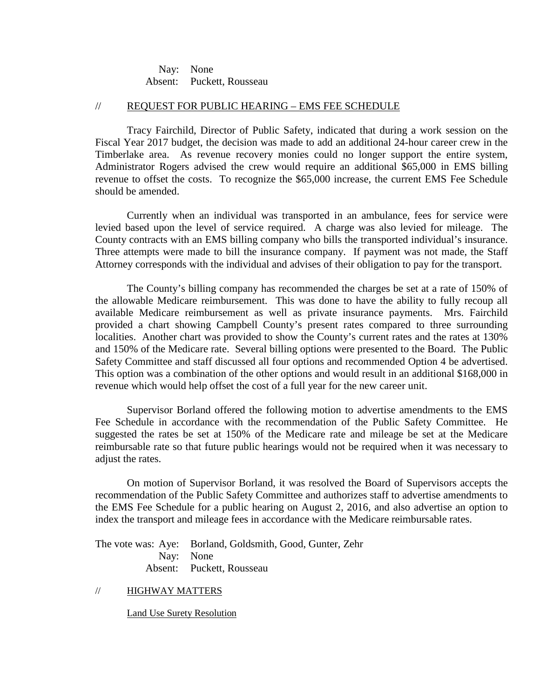Nay: None Absent: Puckett, Rousseau

## // REQUEST FOR PUBLIC HEARING – EMS FEE SCHEDULE

Tracy Fairchild, Director of Public Safety, indicated that during a work session on the Fiscal Year 2017 budget, the decision was made to add an additional 24-hour career crew in the Timberlake area. As revenue recovery monies could no longer support the entire system, Administrator Rogers advised the crew would require an additional \$65,000 in EMS billing revenue to offset the costs. To recognize the \$65,000 increase, the current EMS Fee Schedule should be amended.

Currently when an individual was transported in an ambulance, fees for service were levied based upon the level of service required. A charge was also levied for mileage. The County contracts with an EMS billing company who bills the transported individual's insurance. Three attempts were made to bill the insurance company. If payment was not made, the Staff Attorney corresponds with the individual and advises of their obligation to pay for the transport.

The County's billing company has recommended the charges be set at a rate of 150% of the allowable Medicare reimbursement. This was done to have the ability to fully recoup all available Medicare reimbursement as well as private insurance payments. Mrs. Fairchild provided a chart showing Campbell County's present rates compared to three surrounding localities. Another chart was provided to show the County's current rates and the rates at 130% and 150% of the Medicare rate. Several billing options were presented to the Board. The Public Safety Committee and staff discussed all four options and recommended Option 4 be advertised. This option was a combination of the other options and would result in an additional \$168,000 in revenue which would help offset the cost of a full year for the new career unit.

Supervisor Borland offered the following motion to advertise amendments to the EMS Fee Schedule in accordance with the recommendation of the Public Safety Committee. He suggested the rates be set at 150% of the Medicare rate and mileage be set at the Medicare reimbursable rate so that future public hearings would not be required when it was necessary to adjust the rates.

On motion of Supervisor Borland, it was resolved the Board of Supervisors accepts the recommendation of the Public Safety Committee and authorizes staff to advertise amendments to the EMS Fee Schedule for a public hearing on August 2, 2016, and also advertise an option to index the transport and mileage fees in accordance with the Medicare reimbursable rates.

The vote was: Aye: Borland, Goldsmith, Good, Gunter, Zehr Nay: None Absent: Puckett, Rousseau

## // HIGHWAY MATTERS

Land Use Surety Resolution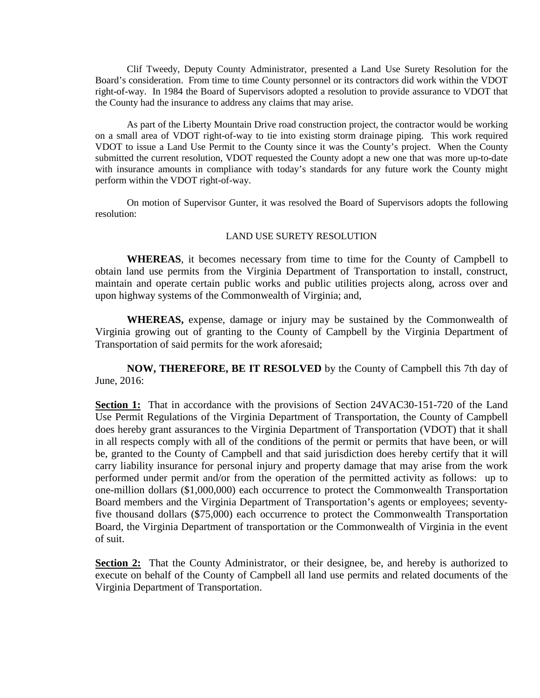Clif Tweedy, Deputy County Administrator, presented a Land Use Surety Resolution for the Board's consideration. From time to time County personnel or its contractors did work within the VDOT right-of-way. In 1984 the Board of Supervisors adopted a resolution to provide assurance to VDOT that the County had the insurance to address any claims that may arise.

As part of the Liberty Mountain Drive road construction project, the contractor would be working on a small area of VDOT right-of-way to tie into existing storm drainage piping. This work required VDOT to issue a Land Use Permit to the County since it was the County's project. When the County submitted the current resolution, VDOT requested the County adopt a new one that was more up-to-date with insurance amounts in compliance with today's standards for any future work the County might perform within the VDOT right-of-way.

On motion of Supervisor Gunter, it was resolved the Board of Supervisors adopts the following resolution:

#### LAND USE SURETY RESOLUTION

**WHEREAS**, it becomes necessary from time to time for the County of Campbell to obtain land use permits from the Virginia Department of Transportation to install, construct, maintain and operate certain public works and public utilities projects along, across over and upon highway systems of the Commonwealth of Virginia; and,

**WHEREAS,** expense, damage or injury may be sustained by the Commonwealth of Virginia growing out of granting to the County of Campbell by the Virginia Department of Transportation of said permits for the work aforesaid;

**NOW, THEREFORE, BE IT RESOLVED** by the County of Campbell this 7th day of June, 2016:

**Section 1:** That in accordance with the provisions of Section 24VAC30-151-720 of the Land Use Permit Regulations of the Virginia Department of Transportation, the County of Campbell does hereby grant assurances to the Virginia Department of Transportation (VDOT) that it shall in all respects comply with all of the conditions of the permit or permits that have been, or will be, granted to the County of Campbell and that said jurisdiction does hereby certify that it will carry liability insurance for personal injury and property damage that may arise from the work performed under permit and/or from the operation of the permitted activity as follows: up to one-million dollars (\$1,000,000) each occurrence to protect the Commonwealth Transportation Board members and the Virginia Department of Transportation's agents or employees; seventyfive thousand dollars (\$75,000) each occurrence to protect the Commonwealth Transportation Board, the Virginia Department of transportation or the Commonwealth of Virginia in the event of suit.

**Section 2:** That the County Administrator, or their designee, be, and hereby is authorized to execute on behalf of the County of Campbell all land use permits and related documents of the Virginia Department of Transportation.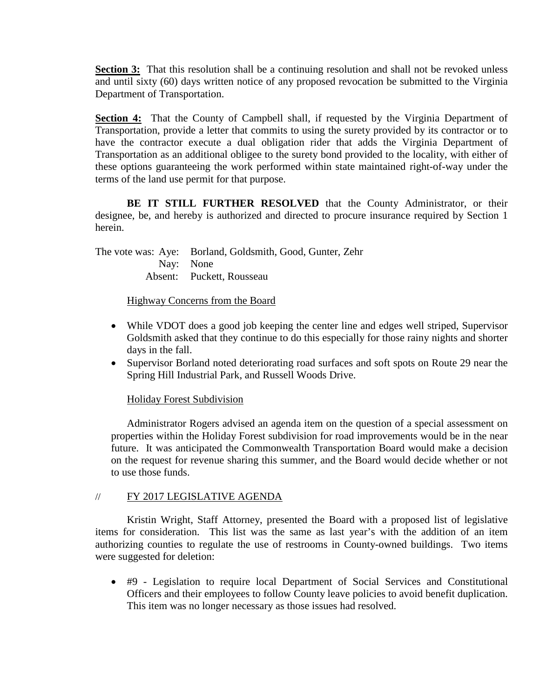**Section 3:** That this resolution shall be a continuing resolution and shall not be revoked unless and until sixty (60) days written notice of any proposed revocation be submitted to the Virginia Department of Transportation.

**Section 4:** That the County of Campbell shall, if requested by the Virginia Department of Transportation, provide a letter that commits to using the surety provided by its contractor or to have the contractor execute a dual obligation rider that adds the Virginia Department of Transportation as an additional obligee to the surety bond provided to the locality, with either of these options guaranteeing the work performed within state maintained right-of-way under the terms of the land use permit for that purpose.

**BE IT STILL FURTHER RESOLVED** that the County Administrator, or their designee, be, and hereby is authorized and directed to procure insurance required by Section 1 herein.

The vote was: Aye: Borland, Goldsmith, Good, Gunter, Zehr Nay: None Absent: Puckett, Rousseau

# Highway Concerns from the Board

- While VDOT does a good job keeping the center line and edges well striped, Supervisor Goldsmith asked that they continue to do this especially for those rainy nights and shorter days in the fall.
- Supervisor Borland noted deteriorating road surfaces and soft spots on Route 29 near the Spring Hill Industrial Park, and Russell Woods Drive.

# Holiday Forest Subdivision

Administrator Rogers advised an agenda item on the question of a special assessment on properties within the Holiday Forest subdivision for road improvements would be in the near future. It was anticipated the Commonwealth Transportation Board would make a decision on the request for revenue sharing this summer, and the Board would decide whether or not to use those funds.

# // FY 2017 LEGISLATIVE AGENDA

Kristin Wright, Staff Attorney, presented the Board with a proposed list of legislative items for consideration. This list was the same as last year's with the addition of an item authorizing counties to regulate the use of restrooms in County-owned buildings. Two items were suggested for deletion:

• #9 - Legislation to require local Department of Social Services and Constitutional Officers and their employees to follow County leave policies to avoid benefit duplication. This item was no longer necessary as those issues had resolved.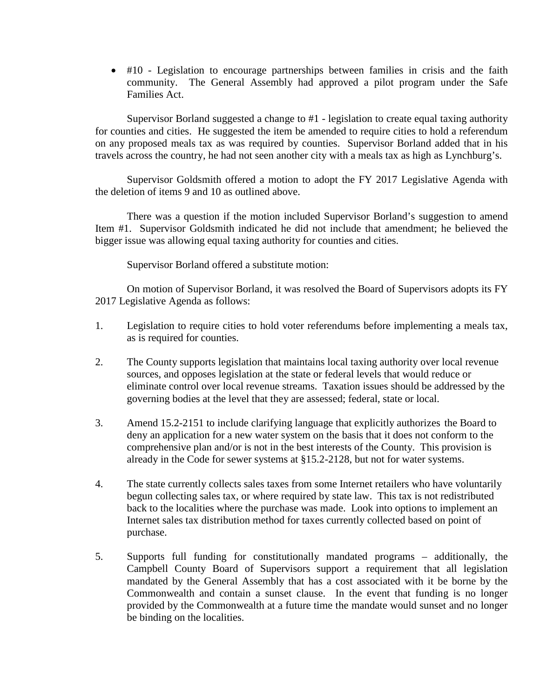• #10 - Legislation to encourage partnerships between families in crisis and the faith community. The General Assembly had approved a pilot program under the Safe Families Act.

Supervisor Borland suggested a change to #1 - legislation to create equal taxing authority for counties and cities. He suggested the item be amended to require cities to hold a referendum on any proposed meals tax as was required by counties. Supervisor Borland added that in his travels across the country, he had not seen another city with a meals tax as high as Lynchburg's.

Supervisor Goldsmith offered a motion to adopt the FY 2017 Legislative Agenda with the deletion of items 9 and 10 as outlined above.

There was a question if the motion included Supervisor Borland's suggestion to amend Item #1. Supervisor Goldsmith indicated he did not include that amendment; he believed the bigger issue was allowing equal taxing authority for counties and cities.

Supervisor Borland offered a substitute motion:

On motion of Supervisor Borland, it was resolved the Board of Supervisors adopts its FY 2017 Legislative Agenda as follows:

- 1. Legislation to require cities to hold voter referendums before implementing a meals tax, as is required for counties.
- 2. The County supports legislation that maintains local taxing authority over local revenue sources, and opposes legislation at the state or federal levels that would reduce or eliminate control over local revenue streams. Taxation issues should be addressed by the governing bodies at the level that they are assessed; federal, state or local.
- 3. Amend 15.2-2151 to include clarifying language that explicitly authorizes the Board to deny an application for a new water system on the basis that it does not conform to the comprehensive plan and/or is not in the best interests of the County. This provision is already in the Code for sewer systems at §15.2-2128, but not for water systems.
- 4. The state currently collects sales taxes from some Internet retailers who have voluntarily begun collecting sales tax, or where required by state law. This tax is not redistributed back to the localities where the purchase was made. Look into options to implement an Internet sales tax distribution method for taxes currently collected based on point of purchase.
- 5. Supports full funding for constitutionally mandated programs additionally, the Campbell County Board of Supervisors support a requirement that all legislation mandated by the General Assembly that has a cost associated with it be borne by the Commonwealth and contain a sunset clause. In the event that funding is no longer provided by the Commonwealth at a future time the mandate would sunset and no longer be binding on the localities.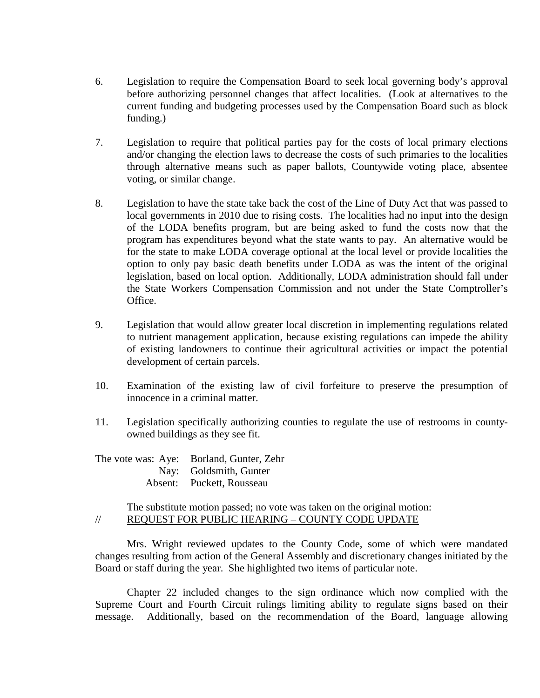- 6. Legislation to require the Compensation Board to seek local governing body's approval before authorizing personnel changes that affect localities. (Look at alternatives to the current funding and budgeting processes used by the Compensation Board such as block funding.)
- 7. Legislation to require that political parties pay for the costs of local primary elections and/or changing the election laws to decrease the costs of such primaries to the localities through alternative means such as paper ballots, Countywide voting place, absentee voting, or similar change.
- 8. Legislation to have the state take back the cost of the Line of Duty Act that was passed to local governments in 2010 due to rising costs. The localities had no input into the design of the LODA benefits program, but are being asked to fund the costs now that the program has expenditures beyond what the state wants to pay. An alternative would be for the state to make LODA coverage optional at the local level or provide localities the option to only pay basic death benefits under LODA as was the intent of the original legislation, based on local option. Additionally, LODA administration should fall under the State Workers Compensation Commission and not under the State Comptroller's Office.
- 9. Legislation that would allow greater local discretion in implementing regulations related to nutrient management application, because existing regulations can impede the ability of existing landowners to continue their agricultural activities or impact the potential development of certain parcels.
- 10. Examination of the existing law of civil forfeiture to preserve the presumption of innocence in a criminal matter.
- 11. Legislation specifically authorizing counties to regulate the use of restrooms in countyowned buildings as they see fit.

The vote was: Aye: Borland, Gunter, Zehr Nay: Goldsmith, Gunter Absent: Puckett, Rousseau

The substitute motion passed; no vote was taken on the original motion: // REQUEST FOR PUBLIC HEARING – COUNTY CODE UPDATE

Mrs. Wright reviewed updates to the County Code, some of which were mandated changes resulting from action of the General Assembly and discretionary changes initiated by the Board or staff during the year. She highlighted two items of particular note.

Chapter 22 included changes to the sign ordinance which now complied with the Supreme Court and Fourth Circuit rulings limiting ability to regulate signs based on their message. Additionally, based on the recommendation of the Board, language allowing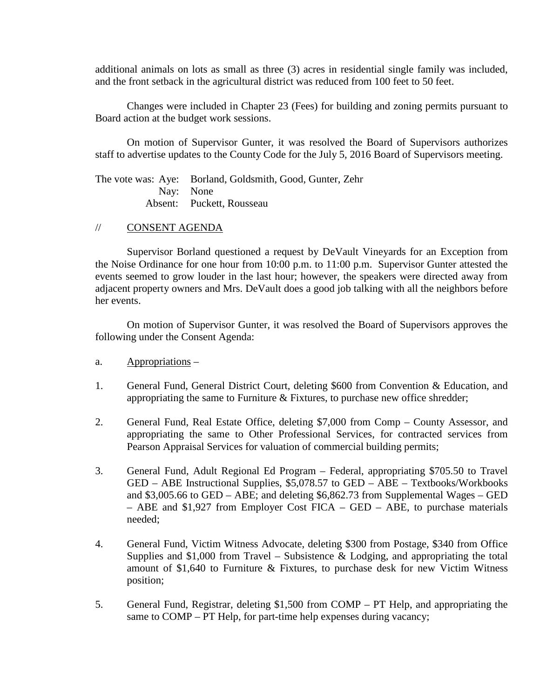additional animals on lots as small as three (3) acres in residential single family was included, and the front setback in the agricultural district was reduced from 100 feet to 50 feet.

Changes were included in Chapter 23 (Fees) for building and zoning permits pursuant to Board action at the budget work sessions.

On motion of Supervisor Gunter, it was resolved the Board of Supervisors authorizes staff to advertise updates to the County Code for the July 5, 2016 Board of Supervisors meeting.

The vote was: Aye: Borland, Goldsmith, Good, Gunter, Zehr Nay: None Absent: Puckett, Rousseau

# // CONSENT AGENDA

Supervisor Borland questioned a request by DeVault Vineyards for an Exception from the Noise Ordinance for one hour from 10:00 p.m. to 11:00 p.m. Supervisor Gunter attested the events seemed to grow louder in the last hour; however, the speakers were directed away from adjacent property owners and Mrs. DeVault does a good job talking with all the neighbors before her events.

On motion of Supervisor Gunter, it was resolved the Board of Supervisors approves the following under the Consent Agenda:

- a. Appropriations –
- 1. General Fund, General District Court, deleting \$600 from Convention & Education, and appropriating the same to Furniture & Fixtures, to purchase new office shredder;
- 2. General Fund, Real Estate Office, deleting \$7,000 from Comp County Assessor, and appropriating the same to Other Professional Services, for contracted services from Pearson Appraisal Services for valuation of commercial building permits;
- 3. General Fund, Adult Regional Ed Program Federal, appropriating \$705.50 to Travel GED – ABE Instructional Supplies, \$5,078.57 to GED – ABE – Textbooks/Workbooks and \$3,005.66 to GED – ABE; and deleting \$6,862.73 from Supplemental Wages – GED – ABE and \$1,927 from Employer Cost FICA – GED – ABE, to purchase materials needed;
- 4. General Fund, Victim Witness Advocate, deleting \$300 from Postage, \$340 from Office Supplies and  $$1,000$  from Travel – Subsistence & Lodging, and appropriating the total amount of \$1,640 to Furniture & Fixtures, to purchase desk for new Victim Witness position;
- 5. General Fund, Registrar, deleting \$1,500 from COMP PT Help, and appropriating the same to COMP – PT Help, for part-time help expenses during vacancy;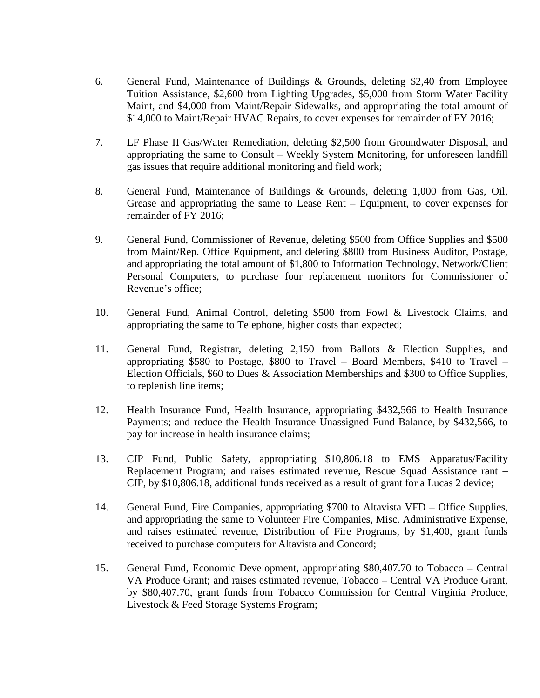- 6. General Fund, Maintenance of Buildings & Grounds, deleting \$2,40 from Employee Tuition Assistance, \$2,600 from Lighting Upgrades, \$5,000 from Storm Water Facility Maint, and \$4,000 from Maint/Repair Sidewalks, and appropriating the total amount of \$14,000 to Maint/Repair HVAC Repairs, to cover expenses for remainder of FY 2016;
- 7. LF Phase II Gas/Water Remediation, deleting \$2,500 from Groundwater Disposal, and appropriating the same to Consult – Weekly System Monitoring, for unforeseen landfill gas issues that require additional monitoring and field work;
- 8. General Fund, Maintenance of Buildings & Grounds, deleting 1,000 from Gas, Oil, Grease and appropriating the same to Lease Rent – Equipment, to cover expenses for remainder of FY 2016;
- 9. General Fund, Commissioner of Revenue, deleting \$500 from Office Supplies and \$500 from Maint/Rep. Office Equipment, and deleting \$800 from Business Auditor, Postage, and appropriating the total amount of \$1,800 to Information Technology, Network/Client Personal Computers, to purchase four replacement monitors for Commissioner of Revenue's office;
- 10. General Fund, Animal Control, deleting \$500 from Fowl & Livestock Claims, and appropriating the same to Telephone, higher costs than expected;
- 11. General Fund, Registrar, deleting 2,150 from Ballots & Election Supplies, and appropriating \$580 to Postage, \$800 to Travel – Board Members, \$410 to Travel – Election Officials, \$60 to Dues & Association Memberships and \$300 to Office Supplies, to replenish line items;
- 12. Health Insurance Fund, Health Insurance, appropriating \$432,566 to Health Insurance Payments; and reduce the Health Insurance Unassigned Fund Balance, by \$432,566, to pay for increase in health insurance claims;
- 13. CIP Fund, Public Safety, appropriating \$10,806.18 to EMS Apparatus/Facility Replacement Program; and raises estimated revenue, Rescue Squad Assistance rant – CIP, by \$10,806.18, additional funds received as a result of grant for a Lucas 2 device;
- 14. General Fund, Fire Companies, appropriating \$700 to Altavista VFD Office Supplies, and appropriating the same to Volunteer Fire Companies, Misc. Administrative Expense, and raises estimated revenue, Distribution of Fire Programs, by \$1,400, grant funds received to purchase computers for Altavista and Concord;
- 15. General Fund, Economic Development, appropriating \$80,407.70 to Tobacco Central VA Produce Grant; and raises estimated revenue, Tobacco – Central VA Produce Grant, by \$80,407.70, grant funds from Tobacco Commission for Central Virginia Produce, Livestock & Feed Storage Systems Program;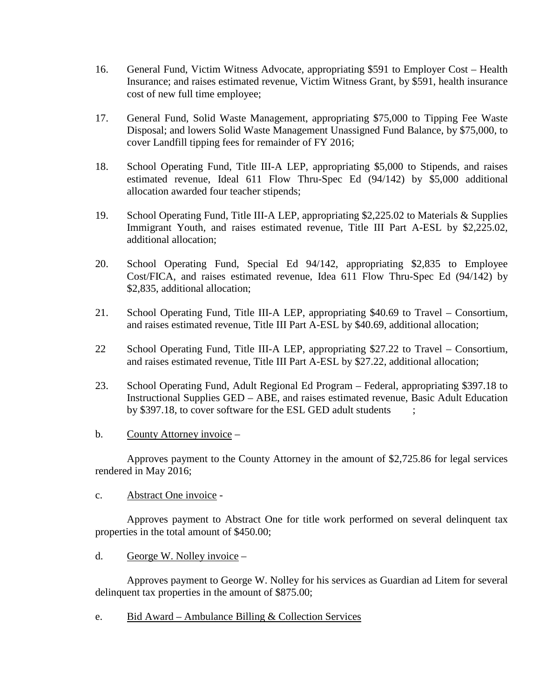- 16. General Fund, Victim Witness Advocate, appropriating \$591 to Employer Cost Health Insurance; and raises estimated revenue, Victim Witness Grant, by \$591, health insurance cost of new full time employee;
- 17. General Fund, Solid Waste Management, appropriating \$75,000 to Tipping Fee Waste Disposal; and lowers Solid Waste Management Unassigned Fund Balance, by \$75,000, to cover Landfill tipping fees for remainder of FY 2016;
- 18. School Operating Fund, Title III-A LEP, appropriating \$5,000 to Stipends, and raises estimated revenue, Ideal 611 Flow Thru-Spec Ed (94/142) by \$5,000 additional allocation awarded four teacher stipends;
- 19. School Operating Fund, Title III-A LEP, appropriating \$2,225.02 to Materials & Supplies Immigrant Youth, and raises estimated revenue, Title III Part A-ESL by \$2,225.02, additional allocation;
- 20. School Operating Fund, Special Ed 94/142, appropriating \$2,835 to Employee Cost/FICA, and raises estimated revenue, Idea 611 Flow Thru-Spec Ed (94/142) by \$2,835, additional allocation;
- 21. School Operating Fund, Title III-A LEP, appropriating \$40.69 to Travel Consortium, and raises estimated revenue, Title III Part A-ESL by \$40.69, additional allocation;
- 22 School Operating Fund, Title III-A LEP, appropriating \$27.22 to Travel Consortium, and raises estimated revenue, Title III Part A-ESL by \$27.22, additional allocation;
- 23. School Operating Fund, Adult Regional Ed Program Federal, appropriating \$397.18 to Instructional Supplies GED – ABE, and raises estimated revenue, Basic Adult Education by \$397.18, to cover software for the ESL GED adult students ;
- b. County Attorney invoice –

Approves payment to the County Attorney in the amount of \$2,725.86 for legal services rendered in May 2016;

c. Abstract One invoice -

Approves payment to Abstract One for title work performed on several delinquent tax properties in the total amount of \$450.00;

d. George W. Nolley invoice –

Approves payment to George W. Nolley for his services as Guardian ad Litem for several delinquent tax properties in the amount of \$875.00;

e. Bid Award – Ambulance Billing & Collection Services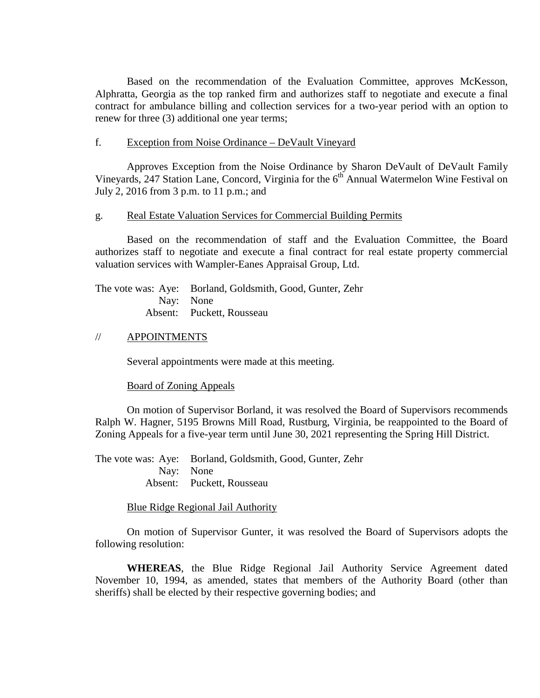Based on the recommendation of the Evaluation Committee, approves McKesson, Alphratta, Georgia as the top ranked firm and authorizes staff to negotiate and execute a final contract for ambulance billing and collection services for a two-year period with an option to renew for three (3) additional one year terms;

### f. Exception from Noise Ordinance – DeVault Vineyard

Approves Exception from the Noise Ordinance by Sharon DeVault of DeVault Family Vineyards, 247 Station Lane, Concord, Virginia for the 6<sup>th</sup> Annual Watermelon Wine Festival on July 2, 2016 from 3 p.m. to 11 p.m.; and

#### g. Real Estate Valuation Services for Commercial Building Permits

Based on the recommendation of staff and the Evaluation Committee, the Board authorizes staff to negotiate and execute a final contract for real estate property commercial valuation services with Wampler-Eanes Appraisal Group, Ltd.

The vote was: Aye: Borland, Goldsmith, Good, Gunter, Zehr Nay: None Absent: Puckett, Rousseau

### // APPOINTMENTS

Several appointments were made at this meeting.

#### Board of Zoning Appeals

On motion of Supervisor Borland, it was resolved the Board of Supervisors recommends Ralph W. Hagner, 5195 Browns Mill Road, Rustburg, Virginia, be reappointed to the Board of Zoning Appeals for a five-year term until June 30, 2021 representing the Spring Hill District.

The vote was: Aye: Borland, Goldsmith, Good, Gunter, Zehr Nay: None Absent: Puckett, Rousseau

Blue Ridge Regional Jail Authority

On motion of Supervisor Gunter, it was resolved the Board of Supervisors adopts the following resolution:

**WHEREAS**, the Blue Ridge Regional Jail Authority Service Agreement dated November 10, 1994, as amended, states that members of the Authority Board (other than sheriffs) shall be elected by their respective governing bodies; and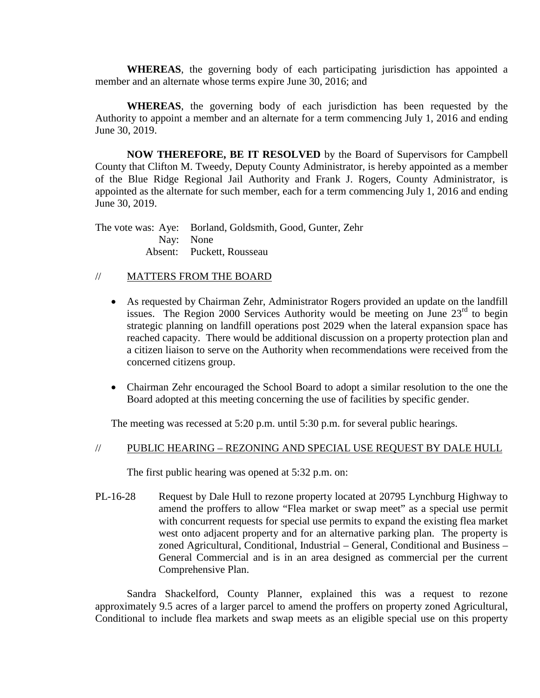**WHEREAS**, the governing body of each participating jurisdiction has appointed a member and an alternate whose terms expire June 30, 2016; and

**WHEREAS**, the governing body of each jurisdiction has been requested by the Authority to appoint a member and an alternate for a term commencing July 1, 2016 and ending June 30, 2019.

**NOW THEREFORE, BE IT RESOLVED** by the Board of Supervisors for Campbell County that Clifton M. Tweedy, Deputy County Administrator, is hereby appointed as a member of the Blue Ridge Regional Jail Authority and Frank J. Rogers, County Administrator, is appointed as the alternate for such member, each for a term commencing July 1, 2016 and ending June 30, 2019.

The vote was: Aye: Borland, Goldsmith, Good, Gunter, Zehr Nay: None Absent: Puckett, Rousseau

# // MATTERS FROM THE BOARD

- As requested by Chairman Zehr, Administrator Rogers provided an update on the landfill issues. The Region 2000 Services Authority would be meeting on June  $23<sup>rd</sup>$  to begin strategic planning on landfill operations post 2029 when the lateral expansion space has reached capacity. There would be additional discussion on a property protection plan and a citizen liaison to serve on the Authority when recommendations were received from the concerned citizens group.
- Chairman Zehr encouraged the School Board to adopt a similar resolution to the one the Board adopted at this meeting concerning the use of facilities by specific gender.

The meeting was recessed at 5:20 p.m. until 5:30 p.m. for several public hearings.

# // PUBLIC HEARING – REZONING AND SPECIAL USE REQUEST BY DALE HULL

The first public hearing was opened at 5:32 p.m. on:

PL-16-28 Request by Dale Hull to rezone property located at 20795 Lynchburg Highway to amend the proffers to allow "Flea market or swap meet" as a special use permit with concurrent requests for special use permits to expand the existing flea market west onto adjacent property and for an alternative parking plan. The property is zoned Agricultural, Conditional, Industrial – General, Conditional and Business – General Commercial and is in an area designed as commercial per the current Comprehensive Plan.

Sandra Shackelford, County Planner, explained this was a request to rezone approximately 9.5 acres of a larger parcel to amend the proffers on property zoned Agricultural, Conditional to include flea markets and swap meets as an eligible special use on this property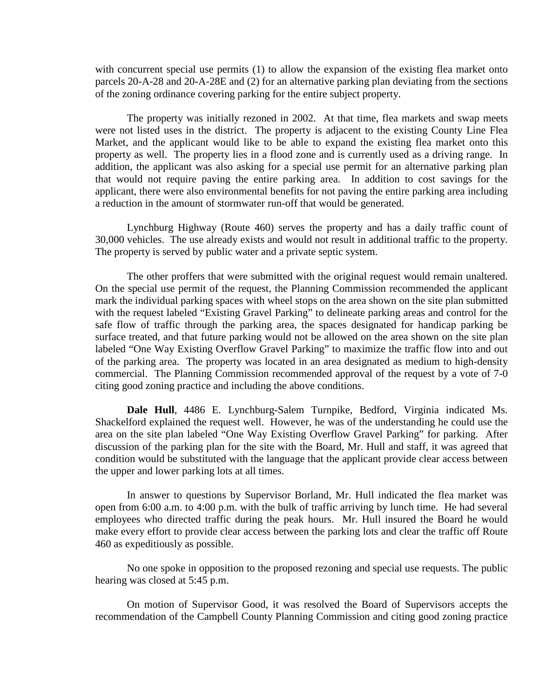with concurrent special use permits (1) to allow the expansion of the existing flea market onto parcels 20-A-28 and 20-A-28E and (2) for an alternative parking plan deviating from the sections of the zoning ordinance covering parking for the entire subject property.

The property was initially rezoned in 2002. At that time, flea markets and swap meets were not listed uses in the district. The property is adjacent to the existing County Line Flea Market, and the applicant would like to be able to expand the existing flea market onto this property as well. The property lies in a flood zone and is currently used as a driving range. In addition, the applicant was also asking for a special use permit for an alternative parking plan that would not require paving the entire parking area. In addition to cost savings for the applicant, there were also environmental benefits for not paving the entire parking area including a reduction in the amount of stormwater run-off that would be generated.

Lynchburg Highway (Route 460) serves the property and has a daily traffic count of 30,000 vehicles. The use already exists and would not result in additional traffic to the property. The property is served by public water and a private septic system.

The other proffers that were submitted with the original request would remain unaltered. On the special use permit of the request, the Planning Commission recommended the applicant mark the individual parking spaces with wheel stops on the area shown on the site plan submitted with the request labeled "Existing Gravel Parking" to delineate parking areas and control for the safe flow of traffic through the parking area, the spaces designated for handicap parking be surface treated, and that future parking would not be allowed on the area shown on the site plan labeled "One Way Existing Overflow Gravel Parking" to maximize the traffic flow into and out of the parking area. The property was located in an area designated as medium to high-density commercial. The Planning Commission recommended approval of the request by a vote of 7-0 citing good zoning practice and including the above conditions.

**Dale Hull**, 4486 E. Lynchburg-Salem Turnpike, Bedford, Virginia indicated Ms. Shackelford explained the request well. However, he was of the understanding he could use the area on the site plan labeled "One Way Existing Overflow Gravel Parking" for parking. After discussion of the parking plan for the site with the Board, Mr. Hull and staff, it was agreed that condition would be substituted with the language that the applicant provide clear access between the upper and lower parking lots at all times.

In answer to questions by Supervisor Borland, Mr. Hull indicated the flea market was open from 6:00 a.m. to 4:00 p.m. with the bulk of traffic arriving by lunch time. He had several employees who directed traffic during the peak hours. Mr. Hull insured the Board he would make every effort to provide clear access between the parking lots and clear the traffic off Route 460 as expeditiously as possible.

No one spoke in opposition to the proposed rezoning and special use requests. The public hearing was closed at 5:45 p.m.

On motion of Supervisor Good, it was resolved the Board of Supervisors accepts the recommendation of the Campbell County Planning Commission and citing good zoning practice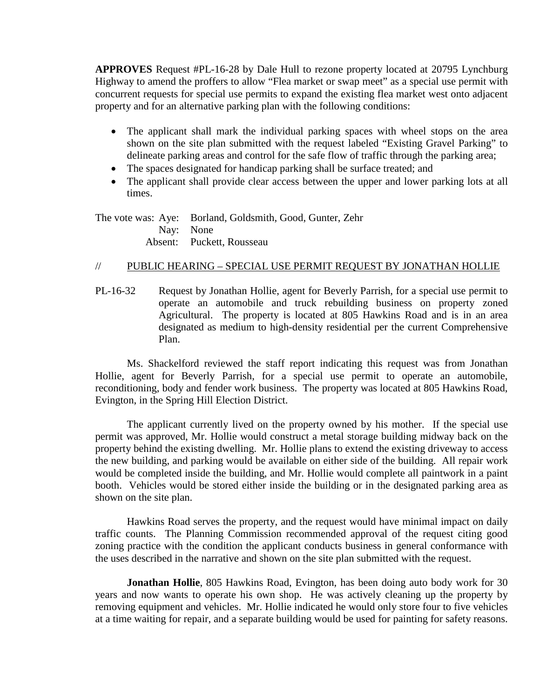**APPROVES** Request #PL-16-28 by Dale Hull to rezone property located at 20795 Lynchburg Highway to amend the proffers to allow "Flea market or swap meet" as a special use permit with concurrent requests for special use permits to expand the existing flea market west onto adjacent property and for an alternative parking plan with the following conditions:

- The applicant shall mark the individual parking spaces with wheel stops on the area shown on the site plan submitted with the request labeled "Existing Gravel Parking" to delineate parking areas and control for the safe flow of traffic through the parking area;
- The spaces designated for handicap parking shall be surface treated; and
- The applicant shall provide clear access between the upper and lower parking lots at all times.

The vote was: Aye: Borland, Goldsmith, Good, Gunter, Zehr Nay: None Absent: Puckett, Rousseau

# // PUBLIC HEARING – SPECIAL USE PERMIT REQUEST BY JONATHAN HOLLIE

PL-16-32 Request by Jonathan Hollie, agent for Beverly Parrish, for a special use permit to operate an automobile and truck rebuilding business on property zoned Agricultural. The property is located at 805 Hawkins Road and is in an area designated as medium to high-density residential per the current Comprehensive Plan.

Ms. Shackelford reviewed the staff report indicating this request was from Jonathan Hollie, agent for Beverly Parrish, for a special use permit to operate an automobile, reconditioning, body and fender work business. The property was located at 805 Hawkins Road, Evington, in the Spring Hill Election District.

The applicant currently lived on the property owned by his mother. If the special use permit was approved, Mr. Hollie would construct a metal storage building midway back on the property behind the existing dwelling. Mr. Hollie plans to extend the existing driveway to access the new building, and parking would be available on either side of the building. All repair work would be completed inside the building, and Mr. Hollie would complete all paintwork in a paint booth. Vehicles would be stored either inside the building or in the designated parking area as shown on the site plan.

Hawkins Road serves the property, and the request would have minimal impact on daily traffic counts. The Planning Commission recommended approval of the request citing good zoning practice with the condition the applicant conducts business in general conformance with the uses described in the narrative and shown on the site plan submitted with the request.

**Jonathan Hollie**, 805 Hawkins Road, Evington, has been doing auto body work for 30 years and now wants to operate his own shop. He was actively cleaning up the property by removing equipment and vehicles. Mr. Hollie indicated he would only store four to five vehicles at a time waiting for repair, and a separate building would be used for painting for safety reasons.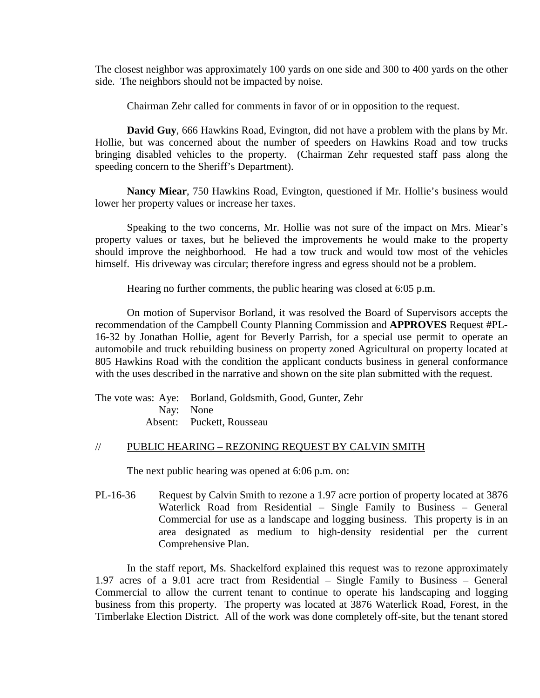The closest neighbor was approximately 100 yards on one side and 300 to 400 yards on the other side. The neighbors should not be impacted by noise.

Chairman Zehr called for comments in favor of or in opposition to the request.

**David Guy**, 666 Hawkins Road, Evington, did not have a problem with the plans by Mr. Hollie, but was concerned about the number of speeders on Hawkins Road and tow trucks bringing disabled vehicles to the property. (Chairman Zehr requested staff pass along the speeding concern to the Sheriff's Department).

**Nancy Miear**, 750 Hawkins Road, Evington, questioned if Mr. Hollie's business would lower her property values or increase her taxes.

Speaking to the two concerns, Mr. Hollie was not sure of the impact on Mrs. Miear's property values or taxes, but he believed the improvements he would make to the property should improve the neighborhood. He had a tow truck and would tow most of the vehicles himself. His driveway was circular; therefore ingress and egress should not be a problem.

Hearing no further comments, the public hearing was closed at 6:05 p.m.

On motion of Supervisor Borland, it was resolved the Board of Supervisors accepts the recommendation of the Campbell County Planning Commission and **APPROVES** Request #PL-16-32 by Jonathan Hollie, agent for Beverly Parrish, for a special use permit to operate an automobile and truck rebuilding business on property zoned Agricultural on property located at 805 Hawkins Road with the condition the applicant conducts business in general conformance with the uses described in the narrative and shown on the site plan submitted with the request.

The vote was: Aye: Borland, Goldsmith, Good, Gunter, Zehr Nay: None Absent: Puckett, Rousseau

## // PUBLIC HEARING – REZONING REQUEST BY CALVIN SMITH

The next public hearing was opened at 6:06 p.m. on:

PL-16-36 Request by Calvin Smith to rezone a 1.97 acre portion of property located at 3876 Waterlick Road from Residential – Single Family to Business – General Commercial for use as a landscape and logging business. This property is in an area designated as medium to high-density residential per the current Comprehensive Plan.

In the staff report, Ms. Shackelford explained this request was to rezone approximately 1.97 acres of a 9.01 acre tract from Residential – Single Family to Business – General Commercial to allow the current tenant to continue to operate his landscaping and logging business from this property. The property was located at 3876 Waterlick Road, Forest, in the Timberlake Election District. All of the work was done completely off-site, but the tenant stored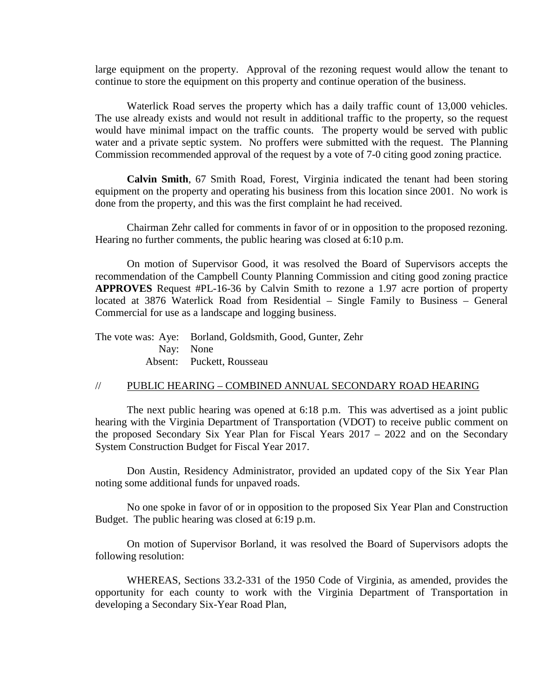large equipment on the property. Approval of the rezoning request would allow the tenant to continue to store the equipment on this property and continue operation of the business.

Waterlick Road serves the property which has a daily traffic count of 13,000 vehicles. The use already exists and would not result in additional traffic to the property, so the request would have minimal impact on the traffic counts. The property would be served with public water and a private septic system. No proffers were submitted with the request. The Planning Commission recommended approval of the request by a vote of 7-0 citing good zoning practice.

**Calvin Smith**, 67 Smith Road, Forest, Virginia indicated the tenant had been storing equipment on the property and operating his business from this location since 2001. No work is done from the property, and this was the first complaint he had received.

Chairman Zehr called for comments in favor of or in opposition to the proposed rezoning. Hearing no further comments, the public hearing was closed at 6:10 p.m.

On motion of Supervisor Good, it was resolved the Board of Supervisors accepts the recommendation of the Campbell County Planning Commission and citing good zoning practice **APPROVES** Request #PL-16-36 by Calvin Smith to rezone a 1.97 acre portion of property located at 3876 Waterlick Road from Residential – Single Family to Business – General Commercial for use as a landscape and logging business.

| The vote was: Aye: Borland, Goldsmith, Good, Gunter, Zehr |
|-----------------------------------------------------------|
| Nav: None                                                 |
| Absent: Puckett, Rousseau                                 |

# // PUBLIC HEARING – COMBINED ANNUAL SECONDARY ROAD HEARING

The next public hearing was opened at 6:18 p.m. This was advertised as a joint public hearing with the Virginia Department of Transportation (VDOT) to receive public comment on the proposed Secondary Six Year Plan for Fiscal Years 2017 – 2022 and on the Secondary System Construction Budget for Fiscal Year 2017.

Don Austin, Residency Administrator, provided an updated copy of the Six Year Plan noting some additional funds for unpaved roads.

No one spoke in favor of or in opposition to the proposed Six Year Plan and Construction Budget. The public hearing was closed at 6:19 p.m.

On motion of Supervisor Borland, it was resolved the Board of Supervisors adopts the following resolution:

WHEREAS, Sections 33.2-331 of the 1950 Code of Virginia, as amended, provides the opportunity for each county to work with the Virginia Department of Transportation in developing a Secondary Six-Year Road Plan,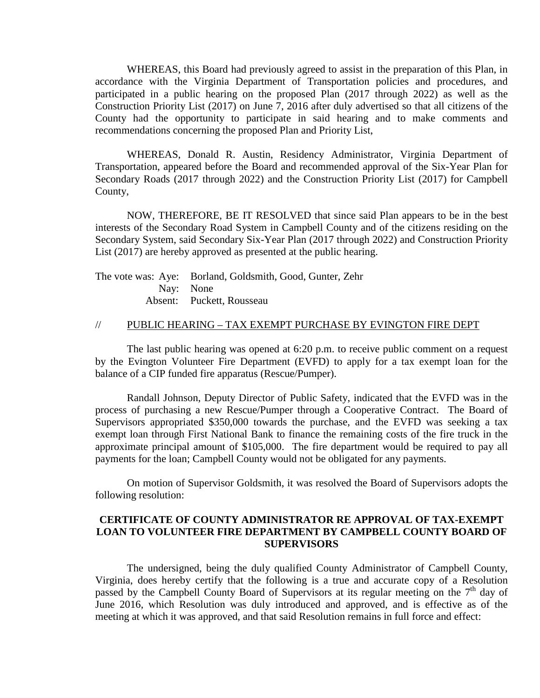WHEREAS, this Board had previously agreed to assist in the preparation of this Plan, in accordance with the Virginia Department of Transportation policies and procedures, and participated in a public hearing on the proposed Plan (2017 through 2022) as well as the Construction Priority List (2017) on June 7, 2016 after duly advertised so that all citizens of the County had the opportunity to participate in said hearing and to make comments and recommendations concerning the proposed Plan and Priority List,

WHEREAS, Donald R. Austin, Residency Administrator, Virginia Department of Transportation, appeared before the Board and recommended approval of the Six-Year Plan for Secondary Roads (2017 through 2022) and the Construction Priority List (2017) for Campbell County,

NOW, THEREFORE, BE IT RESOLVED that since said Plan appears to be in the best interests of the Secondary Road System in Campbell County and of the citizens residing on the Secondary System, said Secondary Six-Year Plan (2017 through 2022) and Construction Priority List (2017) are hereby approved as presented at the public hearing.

| The vote was: Aye: Borland, Goldsmith, Good, Gunter, Zehr |
|-----------------------------------------------------------|
| Nav: None                                                 |
| Absent: Puckett, Rousseau                                 |

## // PUBLIC HEARING – TAX EXEMPT PURCHASE BY EVINGTON FIRE DEPT

The last public hearing was opened at 6:20 p.m. to receive public comment on a request by the Evington Volunteer Fire Department (EVFD) to apply for a tax exempt loan for the balance of a CIP funded fire apparatus (Rescue/Pumper).

Randall Johnson, Deputy Director of Public Safety, indicated that the EVFD was in the process of purchasing a new Rescue/Pumper through a Cooperative Contract. The Board of Supervisors appropriated \$350,000 towards the purchase, and the EVFD was seeking a tax exempt loan through First National Bank to finance the remaining costs of the fire truck in the approximate principal amount of \$105,000. The fire department would be required to pay all payments for the loan; Campbell County would not be obligated for any payments.

On motion of Supervisor Goldsmith, it was resolved the Board of Supervisors adopts the following resolution:

# **CERTIFICATE OF COUNTY ADMINISTRATOR RE APPROVAL OF TAX-EXEMPT LOAN TO VOLUNTEER FIRE DEPARTMENT BY CAMPBELL COUNTY BOARD OF SUPERVISORS**

The undersigned, being the duly qualified County Administrator of Campbell County, Virginia, does hereby certify that the following is a true and accurate copy of a Resolution passed by the Campbell County Board of Supervisors at its regular meeting on the  $7<sup>th</sup>$  day of June 2016, which Resolution was duly introduced and approved, and is effective as of the meeting at which it was approved, and that said Resolution remains in full force and effect: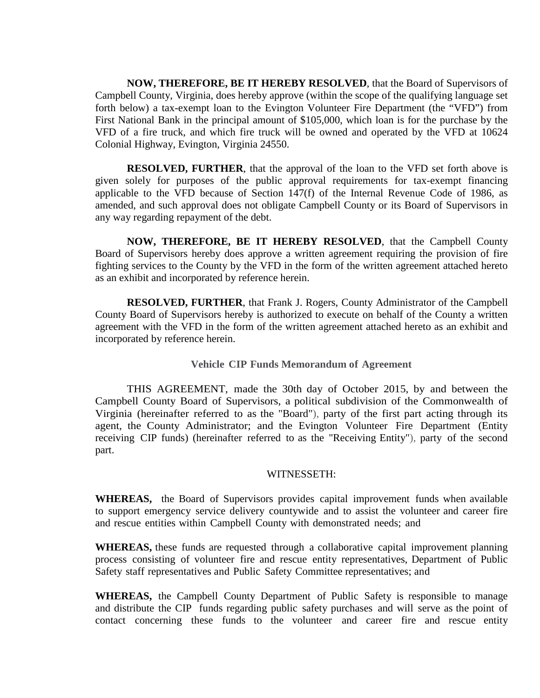**NOW, THEREFORE, BE IT HEREBY RESOLVED**, that the Board of Supervisors of Campbell County, Virginia, does hereby approve (within the scope of the qualifying language set forth below) a tax-exempt loan to the Evington Volunteer Fire Department (the "VFD") from First National Bank in the principal amount of \$105,000, which loan is for the purchase by the VFD of a fire truck, and which fire truck will be owned and operated by the VFD at 10624 Colonial Highway, Evington, Virginia 24550.

**RESOLVED, FURTHER**, that the approval of the loan to the VFD set forth above is given solely for purposes of the public approval requirements for tax-exempt financing applicable to the VFD because of Section 147(f) of the Internal Revenue Code of 1986, as amended, and such approval does not obligate Campbell County or its Board of Supervisors in any way regarding repayment of the debt.

**NOW, THEREFORE, BE IT HEREBY RESOLVED**, that the Campbell County Board of Supervisors hereby does approve a written agreement requiring the provision of fire fighting services to the County by the VFD in the form of the written agreement attached hereto as an exhibit and incorporated by reference herein.

**RESOLVED, FURTHER**, that Frank J. Rogers, County Administrator of the Campbell County Board of Supervisors hereby is authorized to execute on behalf of the County a written agreement with the VFD in the form of the written agreement attached hereto as an exhibit and incorporated by reference herein.

**Vehicle CIP Funds Memorandum of Agreement**

THIS AGREEMENT, made the 30th day of October 2015, by and between the Campbell County Board of Supervisors, a political subdivision of the Commonwealth of Virginia (hereinafter referred to as the "Board"), party of the first part acting through its agent, the County Administrator; and the Evington Volunteer Fire Department (Entity receiving CIP funds) (hereinafter referred to as the "Receiving Entity"), party of the second part.

## WITNESSETH:

**WHEREAS,** the Board of Supervisors provides capital improvement funds when available to support emergency service delivery countywide and to assist the volunteer and career fire and rescue entities within Campbell County with demonstrated needs; and

**WHEREAS,** these funds are requested through a collaborative capital improvement planning process consisting of volunteer fire and rescue entity representatives, Department of Public Safety staff representatives and Public Safety Committee representatives; and

**WHEREAS,** the Campbell County Department of Public Safety is responsible to manage and distribute the CIP funds regarding public safety purchases and will serve as the point of contact concerning these funds to the volunteer and career fire and rescue entity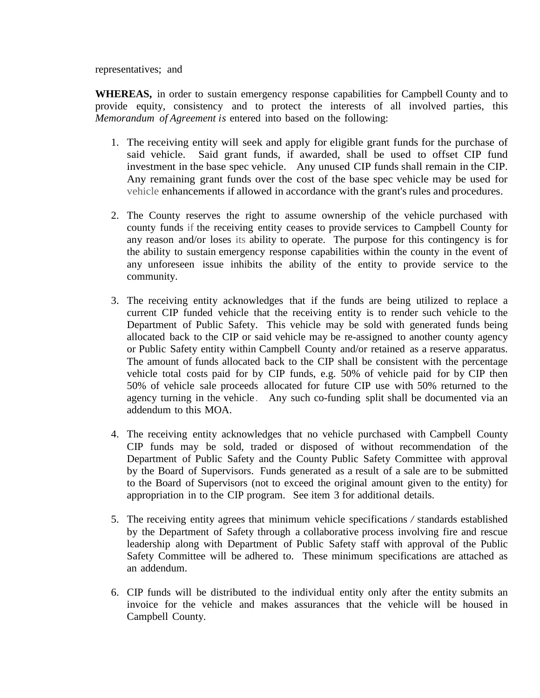representatives; and

**WHEREAS,** in order to sustain emergency response capabilities for Campbell County and to provide equity, consistency and to protect the interests of all involved parties, this *Memorandum of Agreement is* entered into based on the following:

- 1. The receiving entity will seek and apply for eligible grant funds for the purchase of said vehicle. Said grant funds, if awarded, shall be used to offset CIP fund investment in the base spec vehicle. Any unused CIP funds shall remain in the CIP. Any remaining grant funds over the cost of the base spec vehicle may be used for vehicle enhancements if allowed in accordance with the grant's rules and procedures.
- 2. The County reserves the right to assume ownership of the vehicle purchased with county funds if the receiving entity ceases to provide services to Campbell County for any reason and/or loses its ability to operate. The purpose for this contingency is for the ability to sustain emergency response capabilities within the county in the event of any unforeseen issue inhibits the ability of the entity to provide service to the community.
- 3. The receiving entity acknowledges that if the funds are being utilized to replace a current CIP funded vehicle that the receiving entity is to render such vehicle to the Department of Public Safety. This vehicle may be sold with generated funds being allocated back to the CIP or said vehicle may be re-assigned to another county agency or Public Safety entity within Campbell County and/or retained as a reserve apparatus. The amount of funds allocated back to the CIP shall be consistent with the percentage vehicle total costs paid for by CIP funds, e.g. 50% of vehicle paid for by CIP then 50% of vehicle sale proceeds allocated for future CIP use with 50% returned to the agency turning in the vehicle. Any such co-funding split shall be documented via an addendum to this MOA.
- 4. The receiving entity acknowledges that no vehicle purchased with Campbell County CIP funds may be sold, traded or disposed of without recommendation of the Department of Public Safety and the County Public Safety Committee with approval by the Board of Supervisors. Funds generated as a result of a sale are to be submitted to the Board of Supervisors (not to exceed the original amount given to the entity) for appropriation in to the CIP program. See item 3 for additional details.
- 5. The receiving entity agrees that minimum vehicle specifications */* standards established by the Department of Safety through a collaborative process involving fire and rescue leadership along with Department of Public Safety staff with approval of the Public Safety Committee will be adhered to. These minimum specifications are attached as an addendum.
- 6. CIP funds will be distributed to the individual entity only after the entity submits an invoice for the vehicle and makes assurances that the vehicle will be housed in Campbell County.